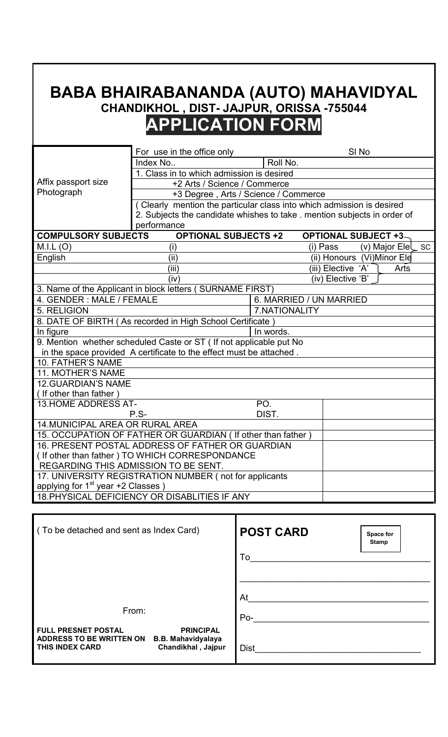## **BABA BHAIRABANANDA (AUTO) MAHAVIDYAL CHANDIKHOL , DIST- JAJPUR, ORISSA -755044 APPLICATION FORM**

|                                                                     | For use in the office only                                               |                         | SI <sub>No</sub>            |                     |  |
|---------------------------------------------------------------------|--------------------------------------------------------------------------|-------------------------|-----------------------------|---------------------|--|
|                                                                     | Index No                                                                 | Roll No.                |                             |                     |  |
|                                                                     | 1. Class in to which admission is desired                                |                         |                             |                     |  |
| Affix passport size                                                 | +2 Arts / Science / Commerce                                             |                         |                             |                     |  |
| Photograph                                                          | +3 Degree, Arts / Science / Commerce                                     |                         |                             |                     |  |
|                                                                     | (Clearly mention the particular class into which admission is desired    |                         |                             |                     |  |
|                                                                     | 2. Subjects the candidate whishes to take . mention subjects in order of |                         |                             |                     |  |
|                                                                     | performance                                                              |                         |                             |                     |  |
| <b>COMPULSORY SUBJECTS</b>                                          | <b>OPTIONAL SUBJECTS +2</b>                                              |                         | <b>OPTIONAL SUBJECT +3-</b> |                     |  |
| M.I.L (O)                                                           | (i)                                                                      |                         | (i) Pass                    | (v) Major $EleC$ SC |  |
| English                                                             | (iii)                                                                    |                         | (ii) Honours (Vi)Minor Ele  |                     |  |
|                                                                     | (iii)                                                                    |                         | (iii) Elective 'A'          | Arts                |  |
|                                                                     | (iv)                                                                     |                         | (iv) Elective 'B'           |                     |  |
|                                                                     | 3. Name of the Applicant in block letters (SURNAME FIRST)                |                         |                             |                     |  |
| 4. GENDER: MALE / FEMALE                                            |                                                                          | 6. MARRIED / UN MARRIED |                             |                     |  |
| 5. RELIGION                                                         | 7.NATIONALITY                                                            |                         |                             |                     |  |
|                                                                     | 8. DATE OF BIRTH (As recorded in High School Certificate)                |                         |                             |                     |  |
| In figure<br>In words.                                              |                                                                          |                         |                             |                     |  |
| 9. Mention whether scheduled Caste or ST ( If not applicable put No |                                                                          |                         |                             |                     |  |
|                                                                     | in the space provided A certificate to the effect must be attached.      |                         |                             |                     |  |
| 10. FATHER'S NAME                                                   |                                                                          |                         |                             |                     |  |
| <b>11. MOTHER'S NAME</b>                                            |                                                                          |                         |                             |                     |  |
| <b>12.GUARDIAN'S NAME</b>                                           |                                                                          |                         |                             |                     |  |
| (If other than father)                                              |                                                                          |                         |                             |                     |  |
| 13. HOME ADDRESS AT-                                                |                                                                          | PO.                     |                             |                     |  |
|                                                                     | $P.S-$                                                                   | DIST.                   |                             |                     |  |
| <b>14. MUNICIPAL AREA OR RURAL AREA</b>                             |                                                                          |                         |                             |                     |  |
| 15. OCCUPATION OF FATHER OR GUARDIAN (If other than father)         |                                                                          |                         |                             |                     |  |
| 16. PRESENT POSTAL ADDRESS OF FATHER OR GUARDIAN                    |                                                                          |                         |                             |                     |  |
| (If other than father) TO WHICH CORRESPONDANCE                      |                                                                          |                         |                             |                     |  |
| REGARDING THIS ADMISSION TO BE SENT.                                |                                                                          |                         |                             |                     |  |
| 17. UNIVERSITY REGISTRATION NUMBER (not for applicants              |                                                                          |                         |                             |                     |  |
| applying for $1st$ year +2 Classes)                                 |                                                                          |                         |                             |                     |  |
|                                                                     | 18. PHYSICAL DEFICIENCY OR DISABLITIES IF ANY                            |                         |                             |                     |  |

| (To be detached and sent as Index Card)                                                                                                                 | <b>POST CARD</b><br>Space for<br><b>Stamp</b> |
|---------------------------------------------------------------------------------------------------------------------------------------------------------|-----------------------------------------------|
|                                                                                                                                                         | To                                            |
| From:                                                                                                                                                   | At<br>Po-                                     |
| <b>PRINCIPAL</b><br><b>FULL PRESNET POSTAL</b><br><b>ADDRESS TO BE WRITTEN ON</b><br><b>B.B. Mahavidyalaya</b><br>Chandikhal, Jajpur<br>THIS INDEX CARD | <b>Dist</b>                                   |